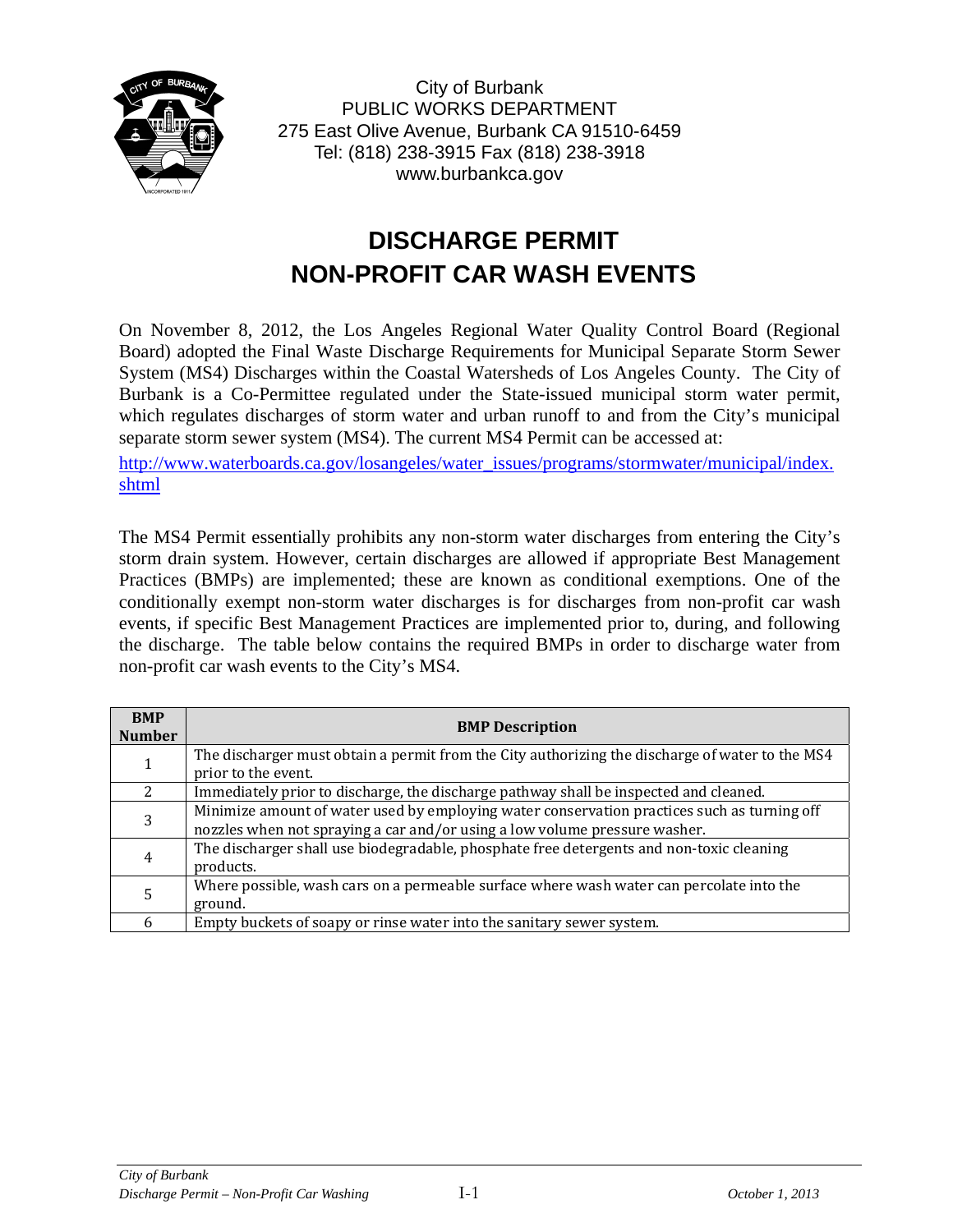

City of Burbank PUBLIC WORKS DEPARTMENT 275 East Olive Avenue, Burbank CA 91510-6459 Tel: (818) 238-3915 Fax (818) 238-3918 www.burbankca.gov

## **DISCHARGE PERMIT NON-PROFIT CAR WASH EVENTS**

On November 8, 2012, the Los Angeles Regional Water Quality Control Board (Regional Board) adopted the Final Waste Discharge Requirements for Municipal Separate Storm Sewer System (MS4) Discharges within the Coastal Watersheds of Los Angeles County. The City of Burbank is a Co-Permittee regulated under the State-issued municipal storm water permit, which regulates discharges of storm water and urban runoff to and from the City's municipal separate storm sewer system (MS4). The current MS4 Permit can be accessed at:

http://www.waterboards.ca.gov/losangeles/water\_issues/programs/stormwater/municipal/index. shtml

The MS4 Permit essentially prohibits any non-storm water discharges from entering the City's storm drain system. However, certain discharges are allowed if appropriate Best Management Practices (BMPs) are implemented; these are known as conditional exemptions. One of the conditionally exempt non-storm water discharges is for discharges from non-profit car wash events, if specific Best Management Practices are implemented prior to, during, and following the discharge. The table below contains the required BMPs in order to discharge water from non-profit car wash events to the City's MS4.

| <b>BMP</b><br><b>Number</b> | <b>BMP Description</b>                                                                                                                                                    |
|-----------------------------|---------------------------------------------------------------------------------------------------------------------------------------------------------------------------|
|                             | The discharger must obtain a permit from the City authorizing the discharge of water to the MS4<br>prior to the event.                                                    |
|                             | Immediately prior to discharge, the discharge pathway shall be inspected and cleaned.                                                                                     |
| 3                           | Minimize amount of water used by employing water conservation practices such as turning off<br>nozzles when not spraying a car and/or using a low volume pressure washer. |
| 4                           | The discharger shall use biodegradable, phosphate free detergents and non-toxic cleaning<br>products.                                                                     |
|                             | Where possible, wash cars on a permeable surface where wash water can percolate into the<br>ground.                                                                       |
| 6                           | Empty buckets of soapy or rinse water into the sanitary sewer system.                                                                                                     |